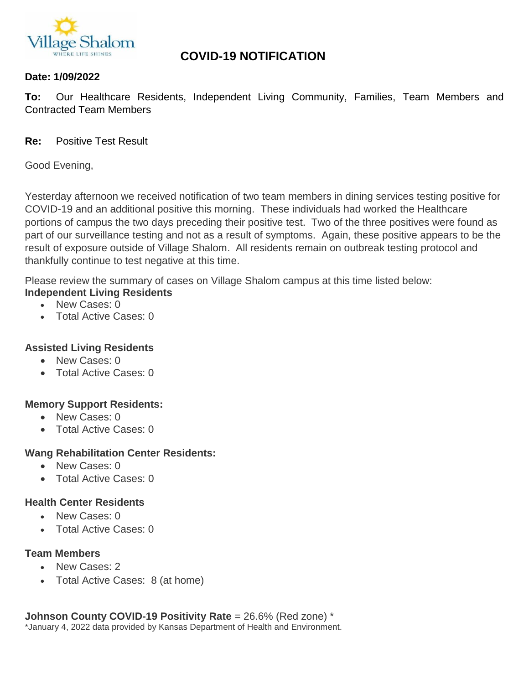

# **COVID-19 NOTIFICATION**

#### **Date: 1/09/2022**

**To:** Our Healthcare Residents, Independent Living Community, Families, Team Members and Contracted Team Members

#### **Re:** Positive Test Result

Good Evening,

Yesterday afternoon we received notification of two team members in dining services testing positive for COVID-19 and an additional positive this morning. These individuals had worked the Healthcare portions of campus the two days preceding their positive test. Two of the three positives were found as part of our surveillance testing and not as a result of symptoms. Again, these positive appears to be the result of exposure outside of Village Shalom. All residents remain on outbreak testing protocol and thankfully continue to test negative at this time.

Please review the summary of cases on Village Shalom campus at this time listed below: **Independent Living Residents**

- New Cases: 0
- Total Active Cases: 0

## **Assisted Living Residents**

- New Cases: 0
- Total Active Cases: 0

## **Memory Support Residents:**

- New Cases: 0
- Total Active Cases: 0

## **Wang Rehabilitation Center Residents:**

- New Cases: 0
- Total Active Cases: 0

#### **Health Center Residents**

- New Cases: 0
- Total Active Cases: 0

## **Team Members**

- New Cases: 2
- Total Active Cases: 8 (at home)

**Johnson County COVID-19 Positivity Rate** = 26.6% (Red zone) \* \*January 4, 2022 data provided by Kansas Department of Health and Environment.